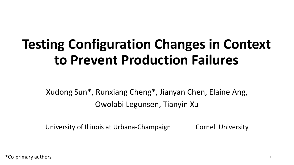# **Testing Configuration Changes in Context to Prevent Production Failures**

Xudong Sun\*, Runxiang Cheng\*, Jianyan Chen, Elaine Ang, Owolabi Legunsen, Tianyin Xu

University of Illinois at Urbana-Champaign Cornell University

\*Co-primary authors <sup>1</sup>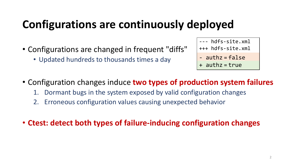### **Configurations are continuously deployed**

- Configurations are changed in frequent "diffs"
	- Updated hundreds to thousands times a day

--- hdfs-site.xml +++ hdfs-site.xml

- authz = false
- $+$  authz = true
- Configuration changes induce **two types of production system failures**
	- 1. Dormant bugs in the system exposed by valid configuration changes
	- 2. Erroneous configuration values causing unexpected behavior
- **Ctest: detect both types of failure-inducing configuration changes**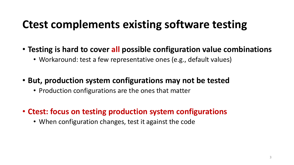#### **Ctest complements existing software testing**

- **Testing is hard to cover all possible configuration value combinations**
	- Workaround: test a few representative ones (e.g., default values)
- **But, production system configurations may not be tested**
	- Production configurations are the ones that matter
- **Ctest: focus on testing production system configurations**
	- When configuration changes, test it against the code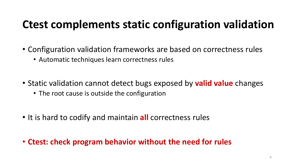#### **Ctest complements static configuration validation**

- Configuration validation frameworks are based on correctness rules
	- Automatic techniques learn correctness rules
- Static validation cannot detect bugs exposed by **valid value** changes
	- The root cause is outside the configuration
- It is hard to codify and maintain **all** correctness rules
- **Ctest: check program behavior without the need for rules**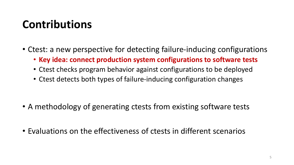## **Contributions**

- Ctest: a new perspective for detecting failure-inducing configurations
	- **Key idea: connect production system configurations to software tests**
	- Ctest checks program behavior against configurations to be deployed
	- Ctest detects both types of failure-inducing configuration changes

- A methodology of generating ctests from existing software tests
- Evaluations on the effectiveness of ctests in different scenarios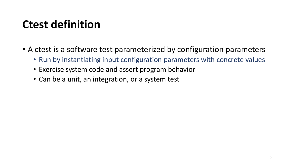### **Ctest definition**

- A ctest is a software test parameterized by configuration parameters
	- Run by instantiating input configuration parameters with concrete values
	- Exercise system code and assert program behavior
	- Can be a unit, an integration, or a system test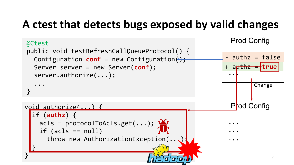## **A ctest that detects bugs exposed by valid changes**

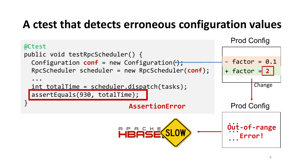### **A ctest that detects erroneous configuration values**

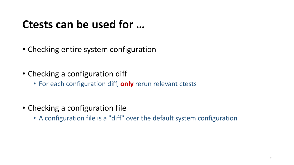#### **Ctests can be used for …**

- Checking entire system configuration
- Checking a configuration diff
	- For each configuration diff, **only** rerun relevant ctests
- Checking a configuration file
	- A configuration file is a "diff" over the default system configuration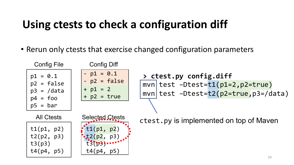#### **Using ctests to check a configuration diff**

• Rerun only ctests that exercise changed configuration parameters

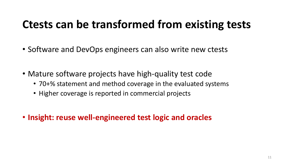#### **Ctests can be transformed from existing tests**

- Software and DevOps engineers can also write new ctests
- Mature software projects have high-quality test code
	- 70+% statement and method coverage in the evaluated systems
	- Higher coverage is reported in commercial projects
- **Insight: reuse well-engineered test logic and oracles**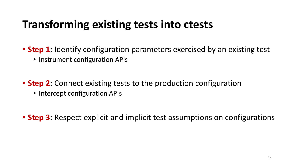#### **Transforming existing tests into ctests**

- **Step 1:** Identify configuration parameters exercised by an existing test
	- Instrument configuration APIs
- **Step 2:** Connect existing tests to the production configuration
	- Intercept configuration APIs
- **Step 3:** Respect explicit and implicit test assumptions on configurations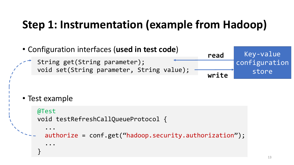## **Step 1: Instrumentation (example from Hadoop)**



```
• Test example
```

```
@Test
void testRefreshCallQueueProtocol {
  ...
  authorize = conf.get("hadoop.security.authorization");
  ...
}
```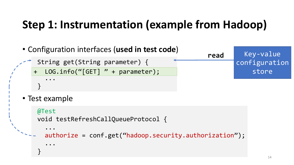## **Step 1: Instrumentation (example from Hadoop)**

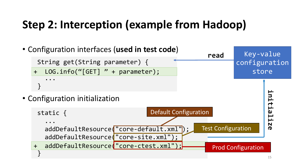## **Step 2: Interception (example from Hadoop)**

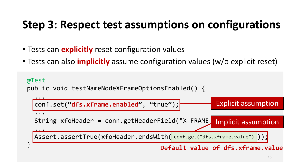## **Step 3: Respect test assumptions on configurations**

- Tests can **explicitly** reset configuration values
- Tests can also **implicitly** assume configuration values (w/o explicit reset)

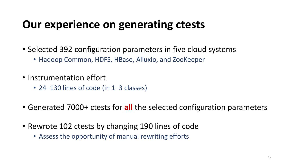#### **Our experience on generating ctests**

- Selected 392 configuration parameters in five cloud systems
	- Hadoop Common, HDFS, HBase, Alluxio, and ZooKeeper
- Instrumentation effort
	- 24–130 lines of code (in 1–3 classes)
- Generated 7000+ ctests for **all** the selected configuration parameters
- Rewrote 102 ctests by changing 190 lines of code
	- Assess the opportunity of manual rewriting efforts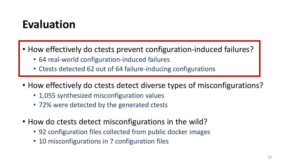### **Evaluation**

- How effectively do ctests prevent configuration-induced failures?
	- 64 real-world configuration-induced failures
	- Ctests detected 62 out of 64 failure-inducing configurations
- How effectively do ctests detect diverse types of misconfigurations?
	- 1,055 synthesized misconfiguration values
	- 72% were detected by the generated ctests
- How do ctests detect misconfigurations in the wild?
	- 92 configuration files collected from public docker images
	- 10 misconfigurations in 7 configuration files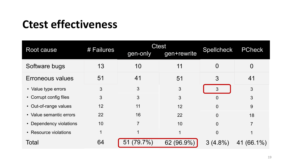#### **Ctest effectiveness**

| Root cause              | # Failures | <b>Ctest</b><br>gen-only | gen+rewrite | Spellcheck | <b>PCheck</b>    |
|-------------------------|------------|--------------------------|-------------|------------|------------------|
| Software bugs           | 13         | 10                       | 11          | O          | O                |
| Erroneous values        | 51         | 41                       | 51          | 3          | 41               |
| • Value type errors     | 3          | 3                        | 3           | 3          | 3                |
| • Corrupt config files  | 3          | 3                        | 3           | 0          | 3                |
| • Out-of-range values   | 12         | 11                       | 12          | $\Omega$   | 9                |
| • Value semantic errors | 22         | 16                       | 22          | $\Omega$   | 18               |
| • Dependency violations | 10         | 7                        | 10          | $\Omega$   | $\overline{7}$   |
| • Resource violations   | 1          |                          |             | $\Omega$   |                  |
| Total                   | 64         | $(79.7\%)$<br>51         | 62 (96.9%)  | $3(4.8\%)$ | $(66.1\%)$<br>41 |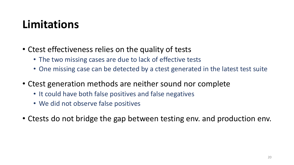#### **Limitations**

- Ctest effectiveness relies on the quality of tests
	- The two missing cases are due to lack of effective tests
	- One missing case can be detected by a ctest generated in the latest test suite
- Ctest generation methods are neither sound nor complete
	- It could have both false positives and false negatives
	- We did not observe false positives
- Ctests do not bridge the gap between testing env. and production env.